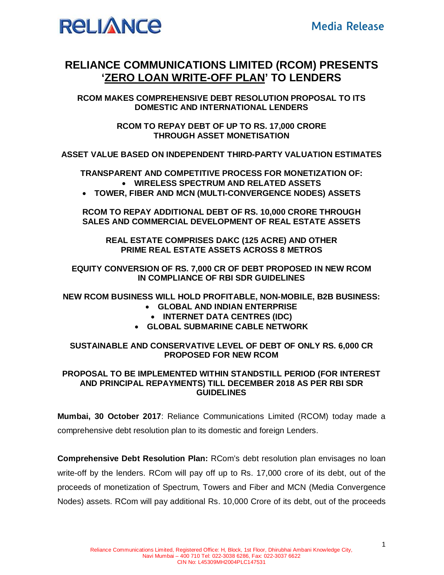

## **RELIANCE COMMUNICATIONS LIMITED (RCOM) PRESENTS 'ZERO LOAN WRITE-OFF PLAN' TO LENDERS**

**RCOM MAKES COMPREHENSIVE DEBT RESOLUTION PROPOSAL TO ITS DOMESTIC AND INTERNATIONAL LENDERS**

> **RCOM TO REPAY DEBT OF UP TO RS. 17,000 CRORE THROUGH ASSET MONETISATION**

**ASSET VALUE BASED ON INDEPENDENT THIRD-PARTY VALUATION ESTIMATES**

**TRANSPARENT AND COMPETITIVE PROCESS FOR MONETIZATION OF: WIRELESS SPECTRUM AND RELATED ASSETS**

**TOWER, FIBER AND MCN (MULTI-CONVERGENCE NODES) ASSETS**

**RCOM TO REPAY ADDITIONAL DEBT OF RS. 10,000 CRORE THROUGH SALES AND COMMERCIAL DEVELOPMENT OF REAL ESTATE ASSETS**

**REAL ESTATE COMPRISES DAKC (125 ACRE) AND OTHER PRIME REAL ESTATE ASSETS ACROSS 8 METROS**

**EQUITY CONVERSION OF RS. 7,000 CR OF DEBT PROPOSED IN NEW RCOM IN COMPLIANCE OF RBI SDR GUIDELINES**

**NEW RCOM BUSINESS WILL HOLD PROFITABLE, NON-MOBILE, B2B BUSINESS:**

- **GLOBAL AND INDIAN ENTERPRISE**
	- **INTERNET DATA CENTRES (IDC)**
- **GLOBAL SUBMARINE CABLE NETWORK**

**SUSTAINABLE AND CONSERVATIVE LEVEL OF DEBT OF ONLY RS. 6,000 CR PROPOSED FOR NEW RCOM**

## **PROPOSAL TO BE IMPLEMENTED WITHIN STANDSTILL PERIOD (FOR INTEREST AND PRINCIPAL REPAYMENTS) TILL DECEMBER 2018 AS PER RBI SDR GUIDELINES**

**Mumbai, 30 October 2017**: Reliance Communications Limited (RCOM) today made a comprehensive debt resolution plan to its domestic and foreign Lenders.

**Comprehensive Debt Resolution Plan:** RCom's debt resolution plan envisages no loan write-off by the lenders. RCom will pay off up to Rs. 17,000 crore of its debt, out of the proceeds of monetization of Spectrum, Towers and Fiber and MCN (Media Convergence Nodes) assets. RCom will pay additional Rs. 10,000 Crore of its debt, out of the proceeds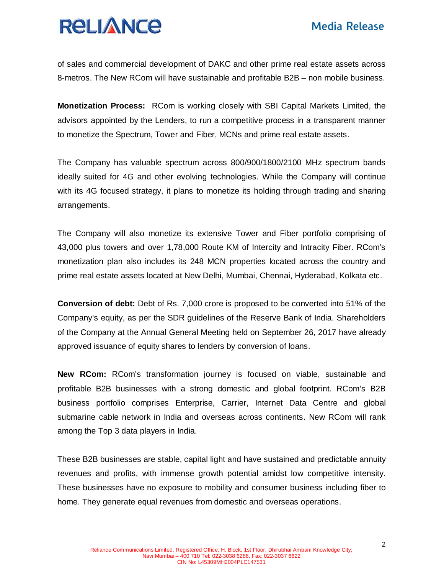## **RELIANCE**

of sales and commercial development of DAKC and other prime real estate assets across 8-metros. The New RCom will have sustainable and profitable B2B – non mobile business.

**Monetization Process:** RCom is working closely with SBI Capital Markets Limited, the advisors appointed by the Lenders, to run a competitive process in a transparent manner to monetize the Spectrum, Tower and Fiber, MCNs and prime real estate assets.

The Company has valuable spectrum across 800/900/1800/2100 MHz spectrum bands ideally suited for 4G and other evolving technologies. While the Company will continue with its 4G focused strategy, it plans to monetize its holding through trading and sharing arrangements.

The Company will also monetize its extensive Tower and Fiber portfolio comprising of 43,000 plus towers and over 1,78,000 Route KM of Intercity and Intracity Fiber. RCom's monetization plan also includes its 248 MCN properties located across the country and prime real estate assets located at New Delhi, Mumbai, Chennai, Hyderabad, Kolkata etc.

**Conversion of debt:** Debt of Rs. 7,000 crore is proposed to be converted into 51% of the Company's equity, as per the SDR guidelines of the Reserve Bank of India. Shareholders of the Company at the Annual General Meeting held on September 26, 2017 have already approved issuance of equity shares to lenders by conversion of loans.

**New RCom:** RCom's transformation journey is focused on viable, sustainable and profitable B2B businesses with a strong domestic and global footprint. RCom's B2B business portfolio comprises Enterprise, Carrier, Internet Data Centre and global submarine cable network in India and overseas across continents. New RCom will rank among the Top 3 data players in India.

These B2B businesses are stable, capital light and have sustained and predictable annuity revenues and profits, with immense growth potential amidst low competitive intensity. These businesses have no exposure to mobility and consumer business including fiber to home. They generate equal revenues from domestic and overseas operations.